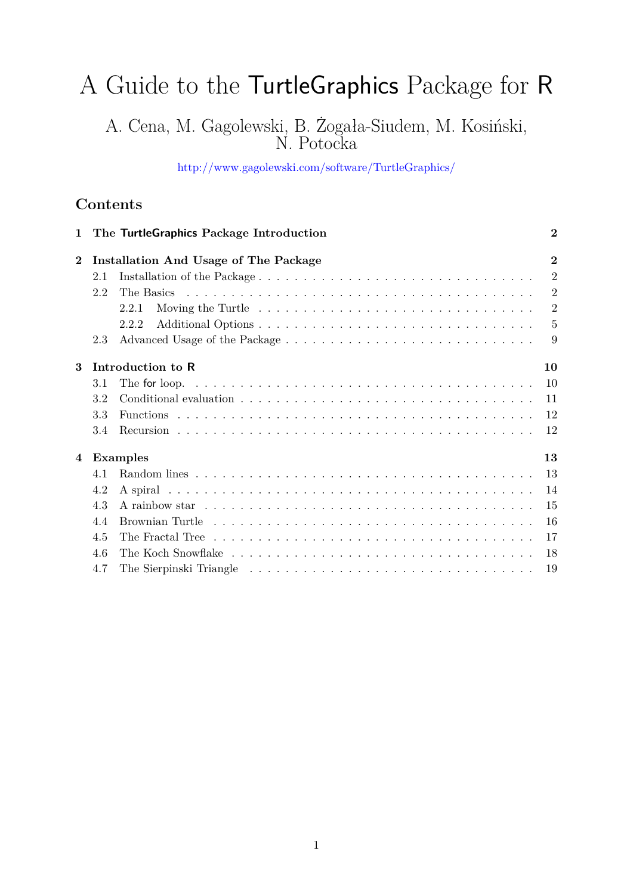# A Guide to the TurtleGraphics Package for R

A. Cena, M. Gagolewski, B. Żogała-Siudem, M. Kosiński, N. Potocka

<http://www.gagolewski.com/software/TurtleGraphics/>

# **Contents**

| $\mathbf{1}$   |     | The TurtleGraphics Package Introduction      | $\bf{2}$       |
|----------------|-----|----------------------------------------------|----------------|
| $\overline{2}$ |     | <b>Installation And Usage of The Package</b> | $\overline{2}$ |
|                | 2.1 |                                              | $\overline{2}$ |
|                | 2.2 |                                              | $\overline{2}$ |
|                |     | 2.2.1                                        | $\overline{2}$ |
|                |     | 2.2.2                                        | $\overline{5}$ |
|                | 2.3 |                                              | 9              |
| 3              |     | Introduction to R                            | 10             |
|                | 3.1 |                                              | 10             |
|                | 3.2 |                                              | 11             |
|                | 3.3 |                                              | 12             |
|                | 3.4 |                                              | 12             |
| 4              |     | Examples                                     | 13             |
|                | 4.1 |                                              | 13             |
|                | 4.2 |                                              | 14             |
|                | 4.3 |                                              | 15             |
|                | 4.4 |                                              | 16             |
|                | 4.5 |                                              | -17            |
|                | 4.6 |                                              | -18            |
|                | 4.7 |                                              | 19             |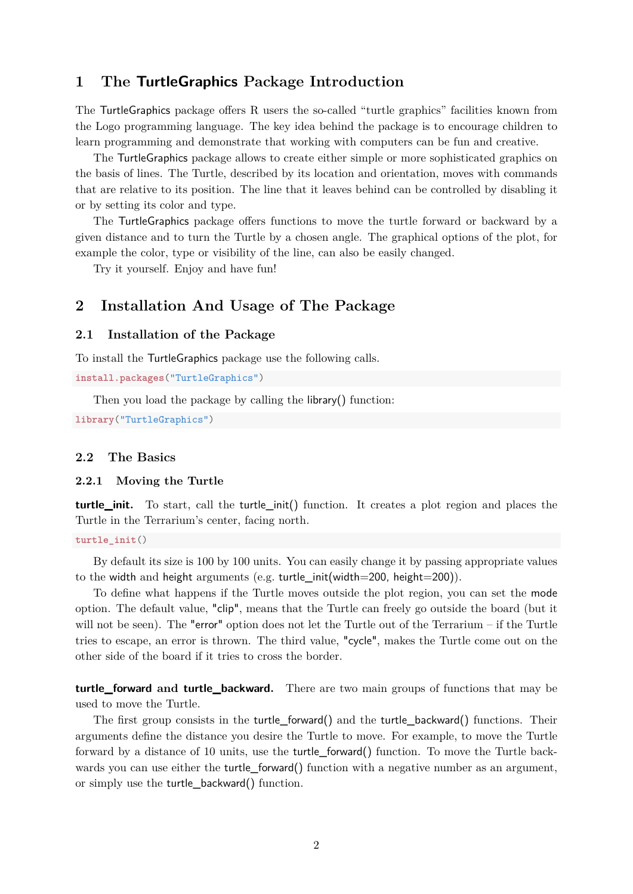## <span id="page-1-0"></span>**1 The TurtleGraphics Package Introduction**

The TurtleGraphics package offers R users the so-called "turtle graphics" facilities known from the Logo programming language. The key idea behind the package is to encourage children to learn programming and demonstrate that working with computers can be fun and creative.

The TurtleGraphics package allows to create either simple or more sophisticated graphics on the basis of lines. The Turtle, described by its location and orientation, moves with commands that are relative to its position. The line that it leaves behind can be controlled by disabling it or by setting its color and type.

The TurtleGraphics package offers functions to move the turtle forward or backward by a given distance and to turn the Turtle by a chosen angle. The graphical options of the plot, for example the color, type or visibility of the line, can also be easily changed.

Try it yourself. Enjoy and have fun!

# <span id="page-1-1"></span>**2 Installation And Usage of The Package**

#### <span id="page-1-2"></span>**2.1 Installation of the Package**

To install the TurtleGraphics package use the following calls.

**install.packages**("TurtleGraphics")

Then you load the package by calling the library() function:

**library**("TurtleGraphics")

#### <span id="page-1-3"></span>**2.2 The Basics**

#### <span id="page-1-4"></span>**2.2.1 Moving the Turtle**

**turtle\_init.** To start, call the turtle\_init() function. It creates a plot region and places the Turtle in the Terrarium's center, facing north.

**turtle\_init**()

By default its size is 100 by 100 units. You can easily change it by passing appropriate values to the width and height arguments (e.g. turtle init(width=200, height=200)).

To define what happens if the Turtle moves outside the plot region, you can set the mode option. The default value, "clip", means that the Turtle can freely go outside the board (but it will not be seen). The "error" option does not let the Turtle out of the Terrarium – if the Turtle tries to escape, an error is thrown. The third value, "cycle", makes the Turtle come out on the other side of the board if it tries to cross the border.

**turtle\_forward and turtle\_backward.** There are two main groups of functions that may be used to move the Turtle.

The first group consists in the turtle forward() and the turtle backward() functions. Their arguments define the distance you desire the Turtle to move. For example, to move the Turtle forward by a distance of 10 units, use the turtle\_forward() function. To move the Turtle backwards you can use either the turtle\_forward() function with a negative number as an argument, or simply use the turtle\_backward() function.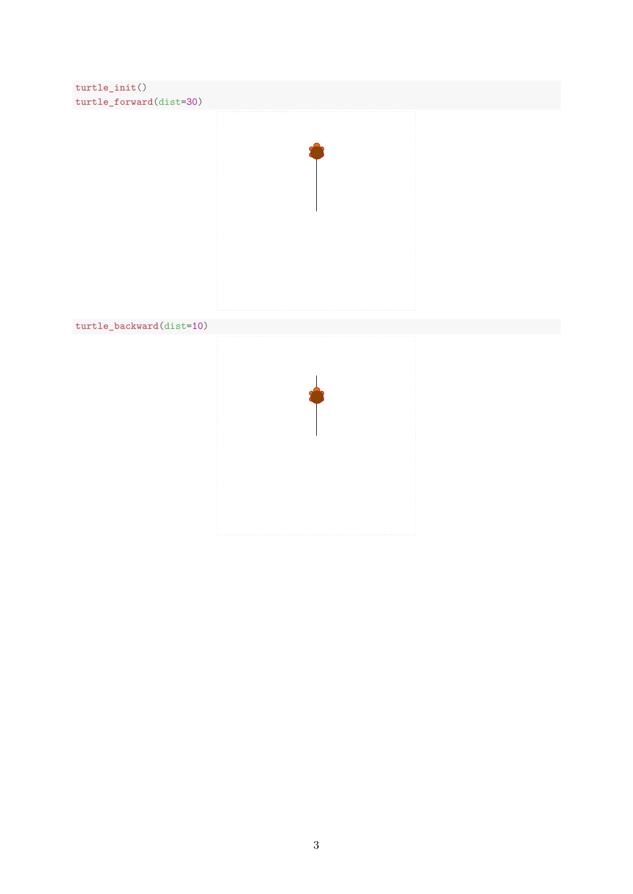```
turtle_init()
turtle_forward(dist=30)
```


```
turtle_backward(dist=10)
```
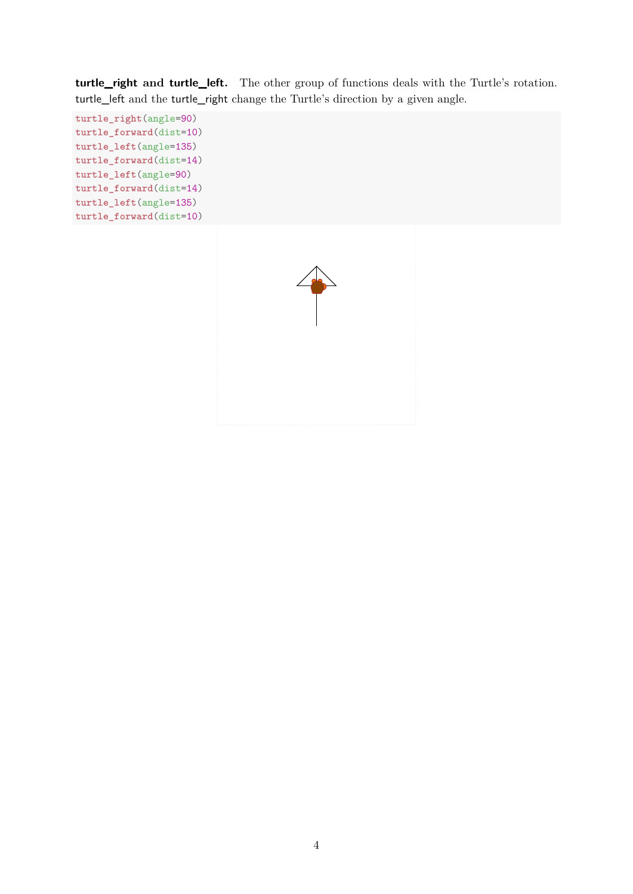**turtle\_right and turtle\_left.** The other group of functions deals with the Turtle's rotation. turtle\_left and the turtle\_right change the Turtle's direction by a given angle.

```
turtle_right(angle=90)
turtle_forward(dist=10)
turtle_left(angle=135)
turtle_forward(dist=14)
turtle_left(angle=90)
turtle_forward(dist=14)
turtle_left(angle=135)
turtle_forward(dist=10)
```
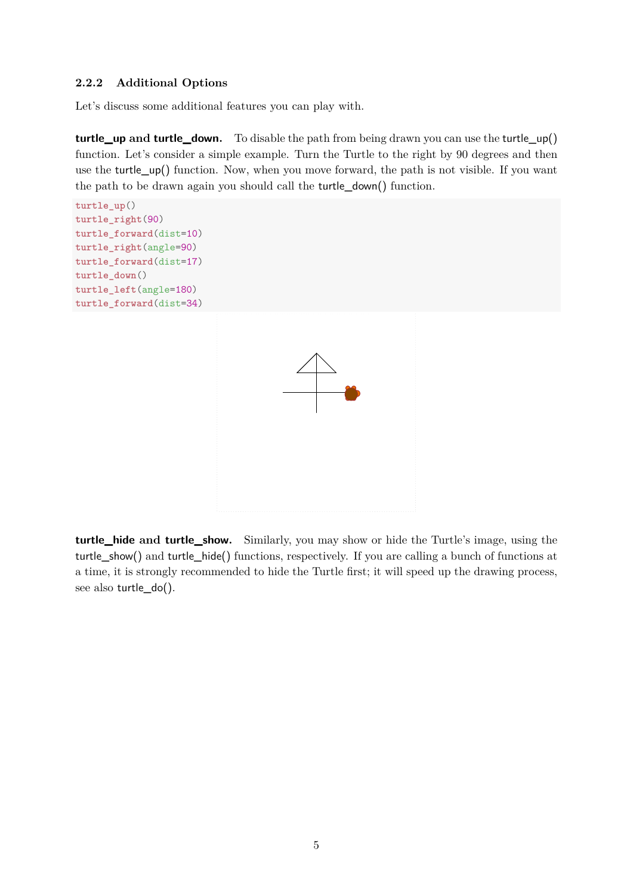#### <span id="page-4-0"></span>**2.2.2 Additional Options**

Let's discuss some additional features you can play with.

**turtle\_up and turtle\_down.** To disable the path from being drawn you can use the turtle\_up() function. Let's consider a simple example. Turn the Turtle to the right by 90 degrees and then use the turtle\_up() function. Now, when you move forward, the path is not visible. If you want the path to be drawn again you should call the turtle\_down() function.

```
turtle_up()
turtle_right(90)
turtle_forward(dist=10)
turtle_right(angle=90)
turtle_forward(dist=17)
turtle_down()
turtle_left(angle=180)
turtle_forward(dist=34)
```


**turtle\_hide and turtle\_show.** Similarly, you may show or hide the Turtle's image, using the turtle\_show() and turtle\_hide() functions, respectively. If you are calling a bunch of functions at a time, it is strongly recommended to hide the Turtle first; it will speed up the drawing process, see also turtle\_do().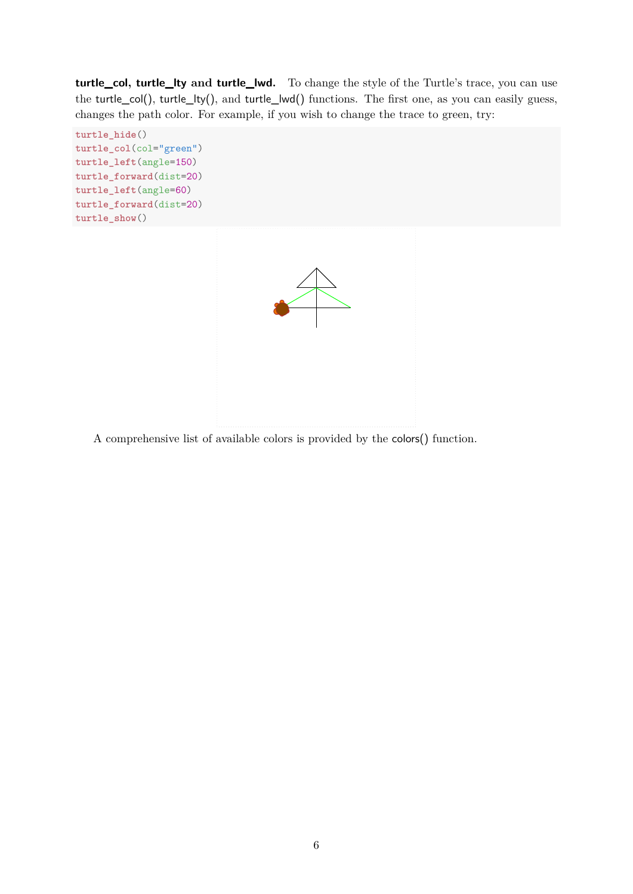**turtle\_col, turtle\_lty and turtle\_lwd.** To change the style of the Turtle's trace, you can use the turtle\_col(), turtle\_lty(), and turtle\_lwd() functions. The first one, as you can easily guess, changes the path color. For example, if you wish to change the trace to green, try:

```
turtle_hide()
turtle_col(col="green")
turtle_left(angle=150)
turtle_forward(dist=20)
turtle_left(angle=60)
turtle_forward(dist=20)
turtle_show()
```


A comprehensive list of available colors is provided by the colors() function.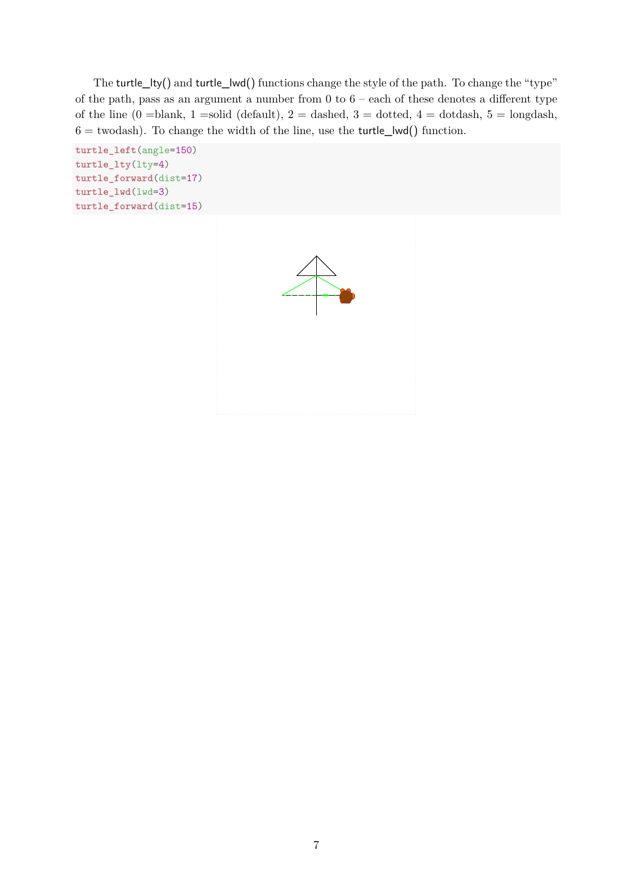The turtle\_lty() and turtle\_lwd() functions change the style of the path. To change the "type" of the path, pass as an argument a number from 0 to 6 – each of these denotes a different type of the line  $(0 = blank, 1 = solid (default), 2 = dashed, 3 = dotted, 4 = dotdash, 5 = longdash,$  $6 =$  twodash). To change the width of the line, use the turtle\_lwd() function.

```
turtle_left(angle=150)
turtle_lty(lty=4)
turtle_forward(dist=17)
turtle_lwd(lwd=3)
turtle_forward(dist=15)
```
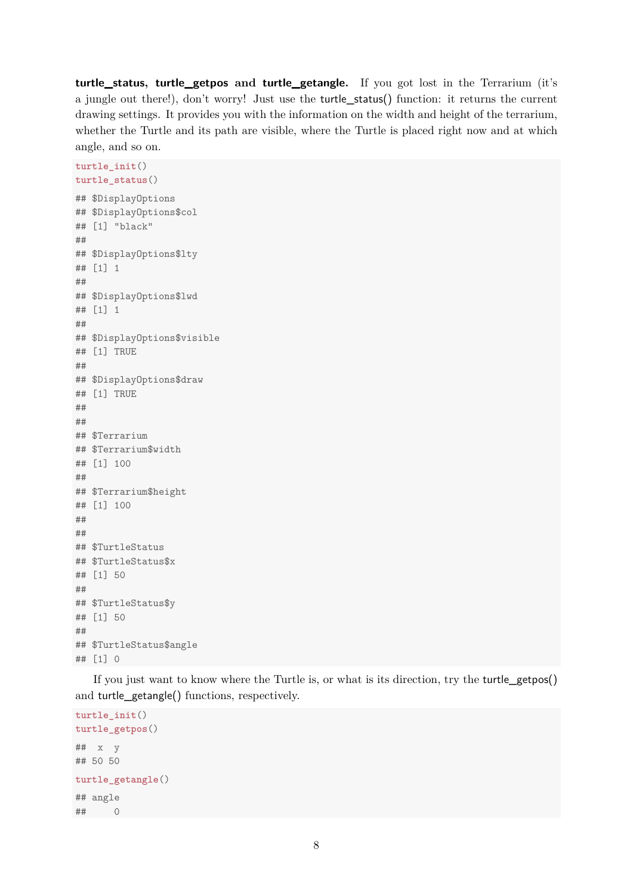**turtle\_status, turtle\_getpos and turtle\_getangle.** If you got lost in the Terrarium (it's a jungle out there!), don't worry! Just use the turtle\_status() function: it returns the current drawing settings. It provides you with the information on the width and height of the terrarium, whether the Turtle and its path are visible, where the Turtle is placed right now and at which angle, and so on.

```
turtle_init()
turtle_status()
## $DisplayOptions
## $DisplayOptions$col
## [1] "black"
##
## $DisplayOptions$lty
## [1] 1
##
## $DisplayOptions$lwd
## [1] 1
##
## $DisplayOptions$visible
## [1] TRUE
##
## $DisplayOptions$draw
## [1] TRUE
##
##
## $Terrarium
## $Terrarium$width
## [1] 100
##
## $Terrarium$height
## [1] 100
##
##
## $TurtleStatus
## $TurtleStatus$x
## [1] 50
##
## $TurtleStatus$y
## [1] 50
##
## $TurtleStatus$angle
## [1] 0
```
If you just want to know where the Turtle is, or what is its direction, try the turtle\_getpos() and turtle\_getangle() functions, respectively.

```
turtle_init()
turtle_getpos()
## x y
## 50 50
turtle_getangle()
## angle
## 0
```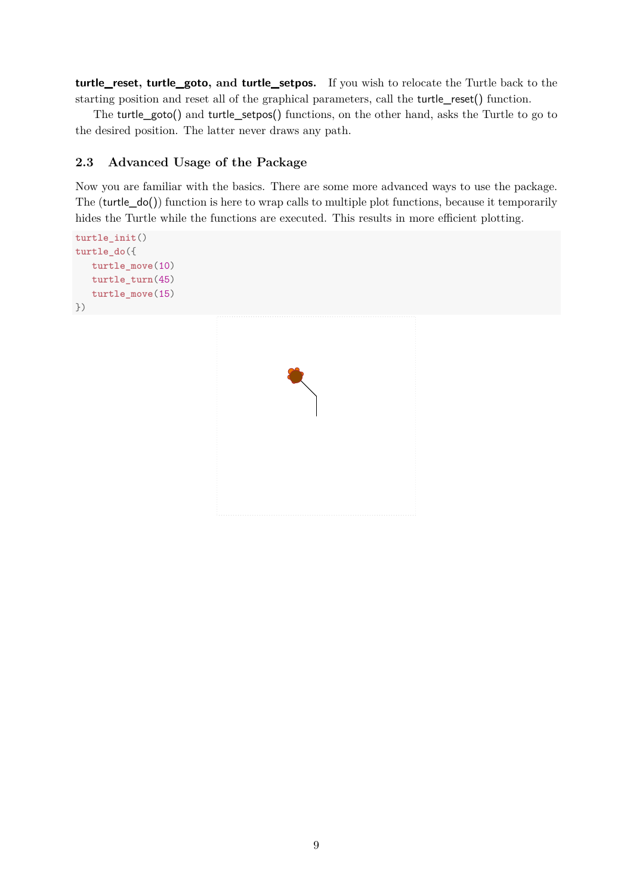**turtle\_reset, turtle\_goto, and turtle\_setpos.** If you wish to relocate the Turtle back to the starting position and reset all of the graphical parameters, call the turtle\_reset() function.

The turtle\_goto() and turtle\_setpos() functions, on the other hand, asks the Turtle to go to the desired position. The latter never draws any path.

# <span id="page-8-0"></span>**2.3 Advanced Usage of the Package**

Now you are familiar with the basics. There are some more advanced ways to use the package. The (turtle\_do()) function is here to wrap calls to multiple plot functions, because it temporarily hides the Turtle while the functions are executed. This results in more efficient plotting.

```
turtle_init()
turtle_do({
   turtle_move(10)
   turtle_turn(45)
   turtle_move(15)
})
```
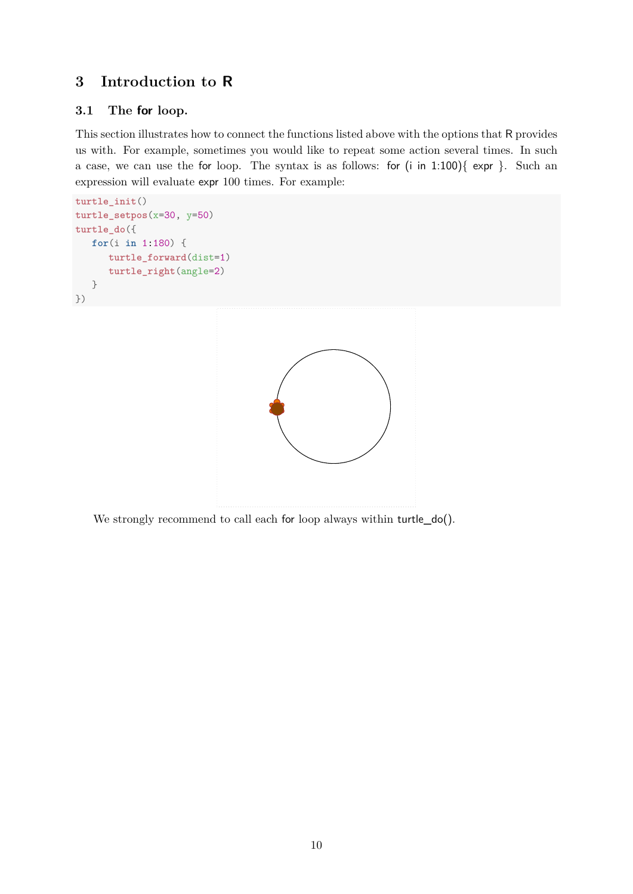# <span id="page-9-0"></span>**3 Introduction to R**

# <span id="page-9-1"></span>**3.1 The for loop.**

This section illustrates how to connect the functions listed above with the options that R provides us with. For example, sometimes you would like to repeat some action several times. In such a case, we can use the for loop. The syntax is as follows: for (i in 1:100){ expr }. Such an expression will evaluate expr 100 times. For example:

```
turtle_init()
turtle_setpos(x=30, y=50)
turtle_do({
   for(i in 1:180) {
      turtle_forward(dist=1)
      turtle_right(angle=2)
   }
})
```


We strongly recommend to call each for loop always within turtle\_do().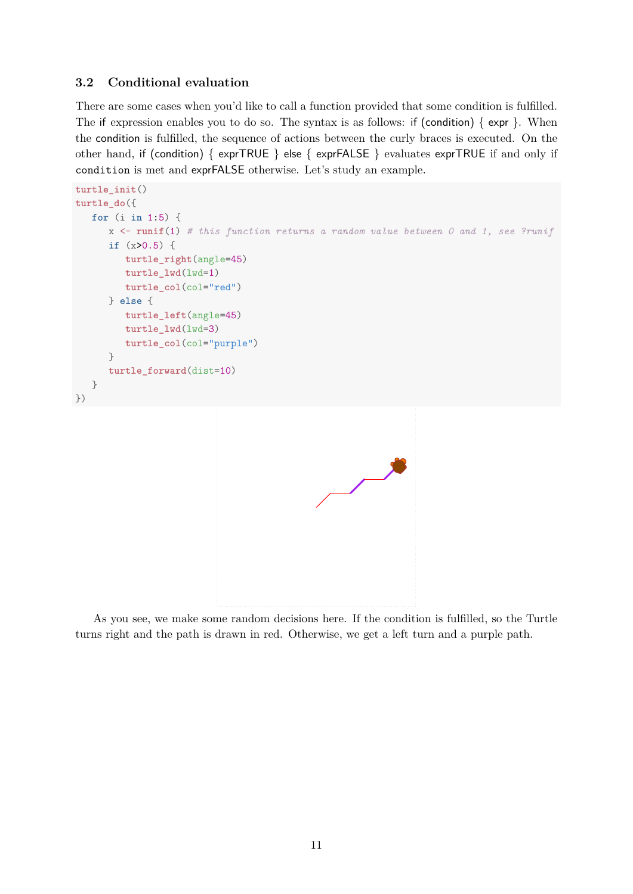## <span id="page-10-0"></span>**3.2 Conditional evaluation**

There are some cases when you'd like to call a function provided that some condition is fulfilled. The if expression enables you to do so. The syntax is as follows: if (condition)  $\{ \exp \}$ . When the condition is fulfilled, the sequence of actions between the curly braces is executed. On the other hand, if (condition) { exprTRUE } else { exprFALSE } evaluates exprTRUE if and only if condition is met and exprFALSE otherwise. Let's study an example.

```
turtle_init()
turtle_do({
   for (i in 1:5) {
      x <- runif(1) # this function returns a random value between 0 and 1, see ?runif
      if (x>0.5) {
         turtle_right(angle=45)
         turtle_lwd(lwd=1)
         turtle_col(col="red")
      } else {
         turtle_left(angle=45)
         turtle_lwd(lwd=3)
         turtle_col(col="purple")
      }
      turtle_forward(dist=10)
   }
})
                                                             ●
                                                             ●
                                                            ●
                                                            ●
                                                           C
                                                           ●
```
As you see, we make some random decisions here. If the condition is fulfilled, so the Turtle turns right and the path is drawn in red. Otherwise, we get a left turn and a purple path.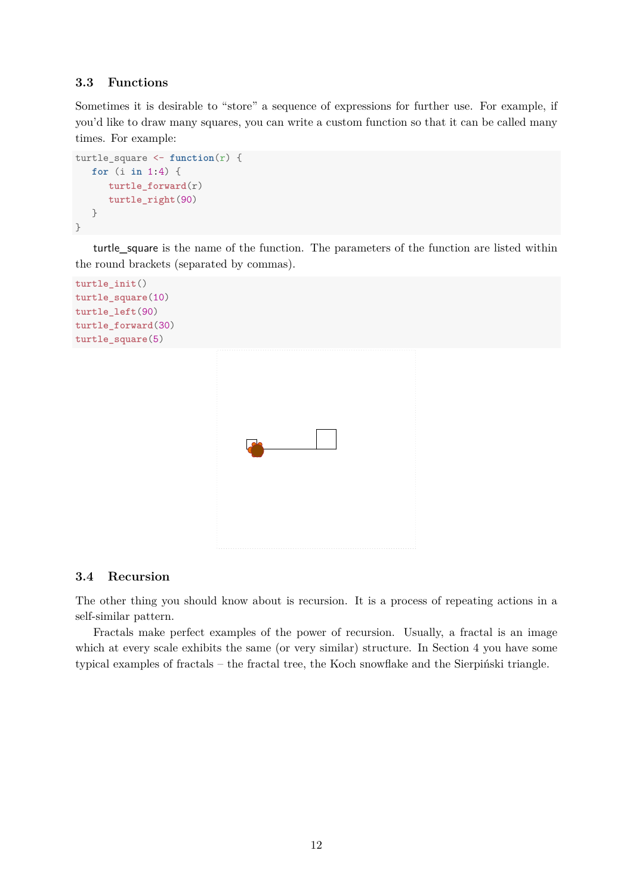#### <span id="page-11-0"></span>**3.3 Functions**

Sometimes it is desirable to "store" a sequence of expressions for further use. For example, if you'd like to draw many squares, you can write a custom function so that it can be called many times. For example:

```
turtle square \leq function(r) {
   for (i in 1:4) {
      turtle_forward(r)
      turtle_right(90)
   }
}
```
turtle\_square is the name of the function. The parameters of the function are listed within the round brackets (separated by commas).

```
turtle_init()
turtle_square(10)
turtle_left(90)
turtle_forward(30)
turtle_square(5)
```


#### <span id="page-11-1"></span>**3.4 Recursion**

The other thing you should know about is recursion. It is a process of repeating actions in a self-similar pattern.

Fractals make perfect examples of the power of recursion. Usually, a fractal is an image which at every scale exhibits the same (or very similar) structure. In Section [4](#page-12-0) you have some typical examples of fractals – the fractal tree, the Koch snowflake and the Sierpiński triangle.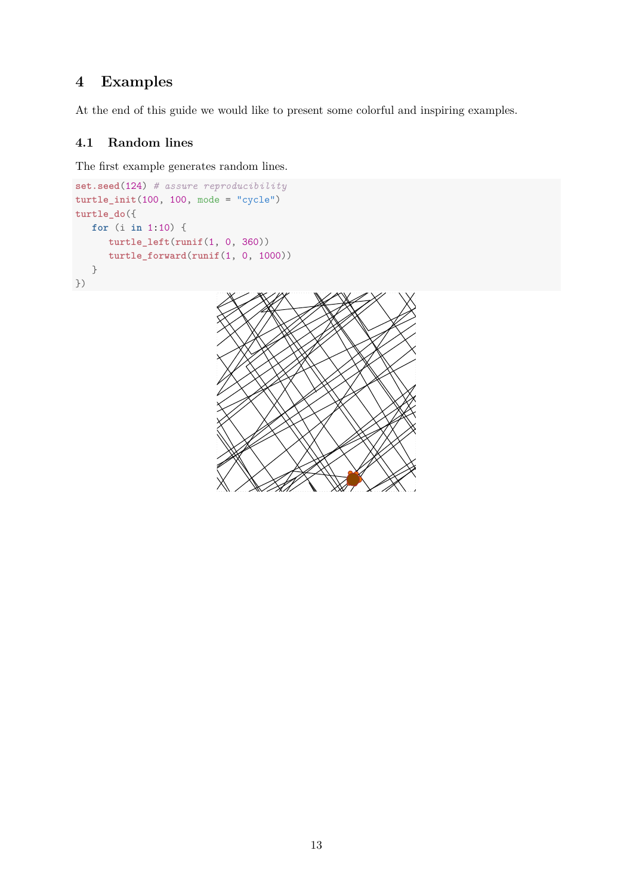# <span id="page-12-0"></span>**4 Examples**

At the end of this guide we would like to present some colorful and inspiring examples.

# <span id="page-12-1"></span>**4.1 Random lines**

The first example generates random lines.

```
set.seed(124) # assure reproducibility
turtle_init(100, 100, mode = "cycle")
turtle_do({
  for (i in 1:10) {
     turtle_left(runif(1, 0, 360))
      turtle_forward(runif(1, 0, 1000))
   }
})
```
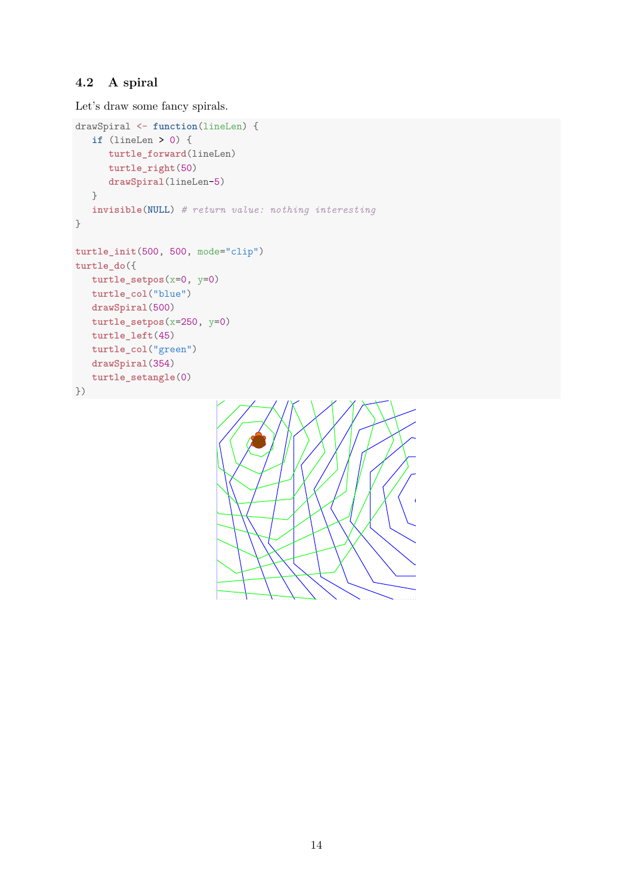# <span id="page-13-0"></span>**4.2 A spiral**

Let's draw some fancy spirals.

```
drawSpiral <- function(lineLen) {
   if (lineLen > 0) {
     turtle_forward(lineLen)
     turtle_right(50)
     drawSpiral(lineLen-5)
   }
   invisible(NULL) # return value: nothing interesting
}
turtle_init(500, 500, mode="clip")
turtle_do({
  turtle_setpos(x=0, y=0)
  turtle_col("blue")
  drawSpiral(500)
  turtle_setpos(x=250, y=0)
  turtle_left(45)
  turtle_col("green")
  drawSpiral(354)
  turtle_setangle(0)
})
```
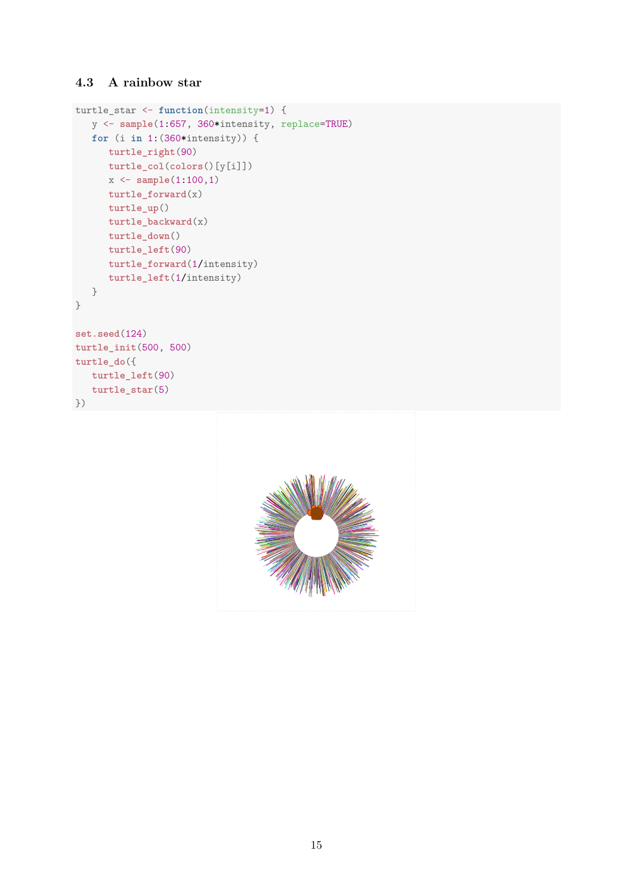## <span id="page-14-0"></span>**4.3 A rainbow star**

```
turtle_star <- function(intensity=1) {
   y <- sample(1:657, 360*intensity, replace=TRUE)
  for (i in 1:(360*intensity)) {
     turtle_right(90)
     turtle_col(colors()[y[i]])
     x <- sample(1:100,1)
     turtle_forward(x)
     turtle_up()
     turtle_backward(x)
     turtle_down()
     turtle_left(90)
     turtle_forward(1/intensity)
     turtle_left(1/intensity)
   }
}
set.seed(124)
turtle_init(500, 500)
turtle_do({
  turtle_left(90)
  turtle_star(5)
})
```
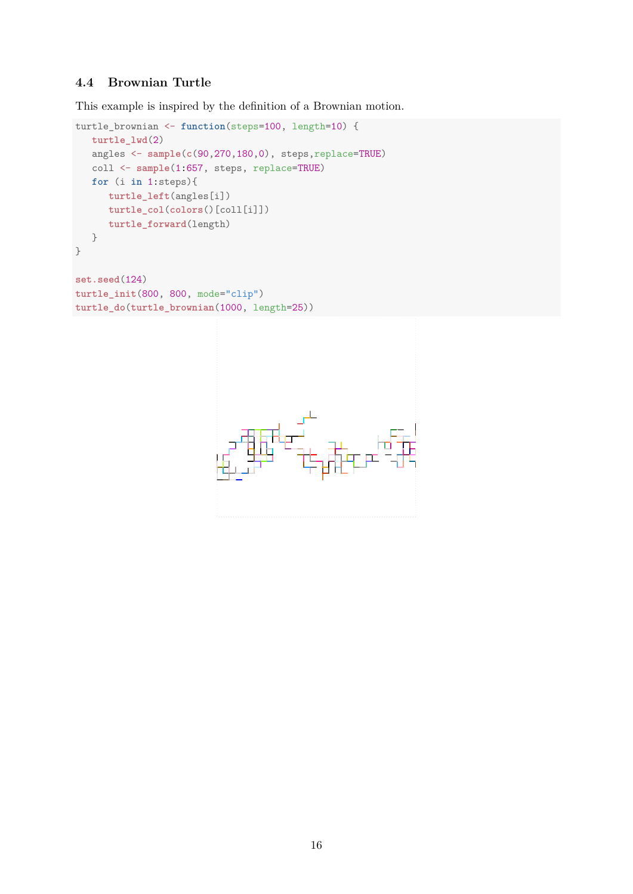# <span id="page-15-0"></span>**4.4 Brownian Turtle**

This example is inspired by the definition of a Brownian motion.

```
turtle_brownian <- function(steps=100, length=10) {
  turtle_lwd(2)
   angles <- sample(c(90,270,180,0), steps,replace=TRUE)
   coll <- sample(1:657, steps, replace=TRUE)
   for (i in 1:steps){
     turtle_left(angles[i])
     turtle_col(colors()[coll[i]])
     turtle_forward(length)
   }
}
set.seed(124)
turtle_init(800, 800, mode="clip")
turtle_do(turtle_brownian(1000, length=25))
```
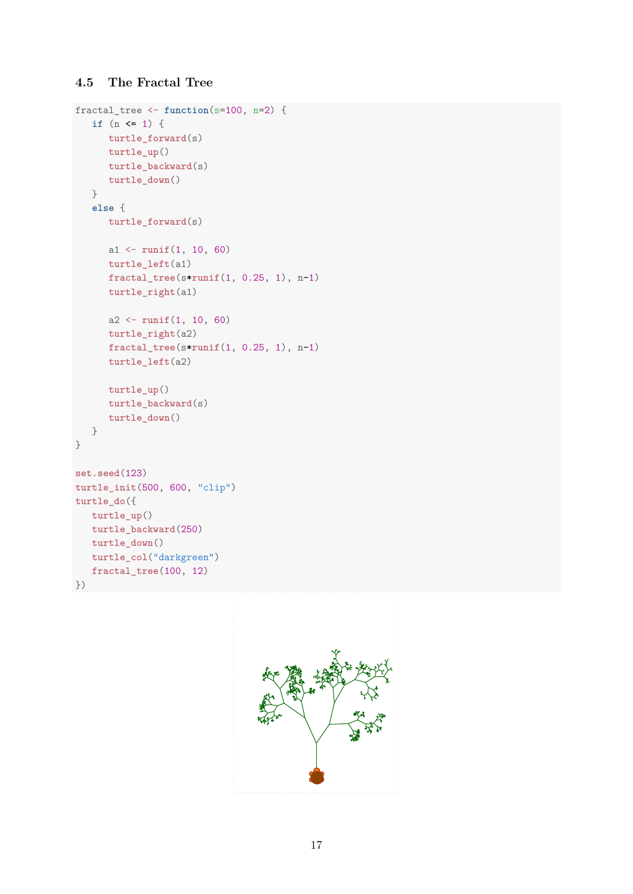# <span id="page-16-0"></span>**4.5 The Fractal Tree**

```
fractal_tree <- function(s=100, n=2) {
   if (n <= 1) {
     turtle_forward(s)
     turtle_up()
     turtle_backward(s)
     turtle_down()
   }
   else {
     turtle_forward(s)
     a1 <- runif(1, 10, 60)
     turtle_left(a1)
     fractal_tree(s*runif(1, 0.25, 1), n-1)
     turtle_right(a1)
     a2 <- runif(1, 10, 60)
     turtle_right(a2)
     fractal_tree(s*runif(1, 0.25, 1), n-1)
     turtle_left(a2)
     turtle_up()
     turtle_backward(s)
     turtle_down()
  }
}
set.seed(123)
turtle_init(500, 600, "clip")
turtle_do({
  turtle_up()
  turtle_backward(250)
  turtle_down()
  turtle_col("darkgreen")
  fractal_tree(100, 12)
})
```
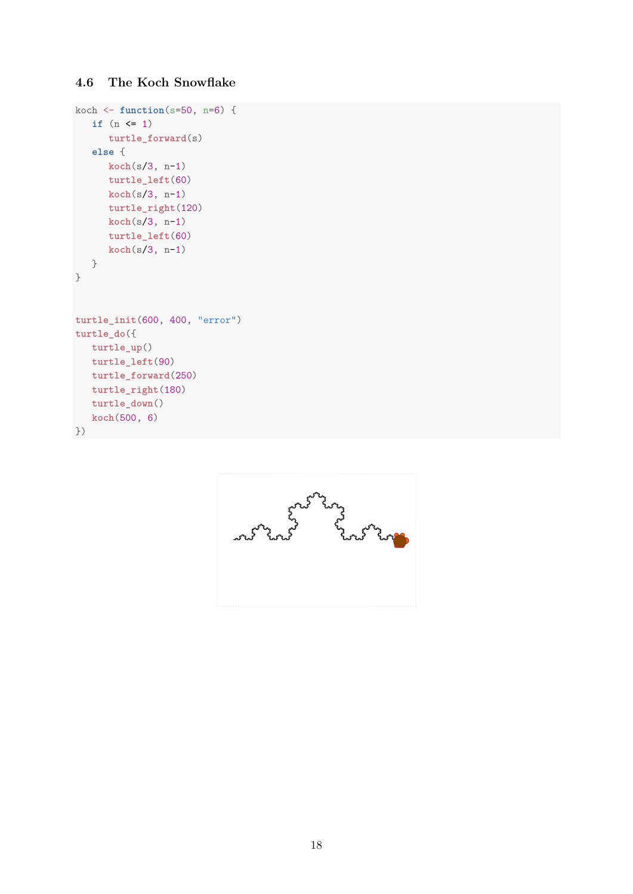# <span id="page-17-0"></span>**4.6 The Koch Snowflake**

```
koch <- function(s=50, n=6) {
  if (n <= 1)
     turtle_forward(s)
  else {
     koch(s/3, n-1)
     turtle_left(60)
     koch(s/3, n-1)
     turtle_right(120)
     koch(s/3, n-1)
     turtle_left(60)
     koch(s/3, n-1)
  }
}
turtle_init(600, 400, "error")
turtle_do({
 turtle_up()
  turtle_left(90)
  turtle_forward(250)
  turtle_right(180)
  turtle_down()
  koch(500, 6)
})
```